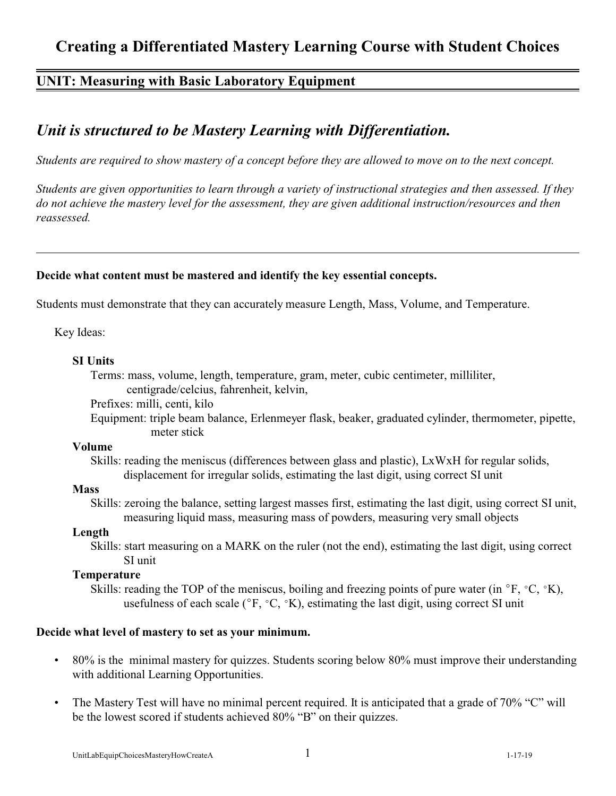# **UNIT: Measuring with Basic Laboratory Equipment**

# *Unit is structured to be Mastery Learning with Differentiation.*

*Students are required to show mastery of a concept before they are allowed to move on to the next concept.* 

*Students are given opportunities to learn through a variety of instructional strategies and then assessed. If they do not achieve the mastery level for the assessment, they are given additional instruction/resources and then reassessed.*

#### **Decide what content must be mastered and identify the key essential concepts.**

Students must demonstrate that they can accurately measure Length, Mass, Volume, and Temperature.

Key Ideas:

#### **SI Units**

Terms: mass, volume, length, temperature, gram, meter, cubic centimeter, milliliter,

centigrade/celcius, fahrenheit, kelvin,

Prefixes: milli, centi, kilo

Equipment: triple beam balance, Erlenmeyer flask, beaker, graduated cylinder, thermometer, pipette, meter stick

#### **Volume**

Skills: reading the meniscus (differences between glass and plastic), LxWxH for regular solids, displacement for irregular solids, estimating the last digit, using correct SI unit

#### **Mass**

Skills: zeroing the balance, setting largest masses first, estimating the last digit, using correct SI unit, measuring liquid mass, measuring mass of powders, measuring very small objects

## **Length**

Skills: start measuring on a MARK on the ruler (not the end), estimating the last digit, using correct SI unit

## **Temperature**

Skills: reading the TOP of the meniscus, boiling and freezing points of pure water (in  ${}^{\circ}F$ ,  ${}^{\circ}C$ ,  ${}^{\circ}K$ ), usefulness of each scale ( ${}^{\circ}F$ ,  ${}^{\circ}C$ ,  ${}^{\circ}K$ ), estimating the last digit, using correct SI unit

## **Decide what level of mastery to set as your minimum.**

- 80% is the minimal mastery for quizzes. Students scoring below 80% must improve their understanding with additional Learning Opportunities.
- The Mastery Test will have no minimal percent required. It is anticipated that a grade of 70% "C" will be the lowest scored if students achieved 80% "B" on their quizzes.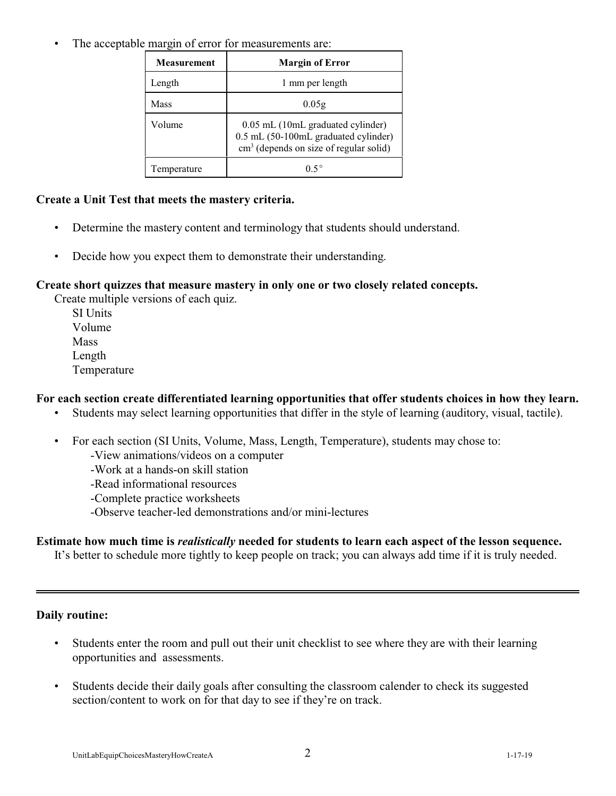The acceptable margin of error for measurements are:

| <b>Measurement</b> | <b>Margin of Error</b>                                                                                                               |
|--------------------|--------------------------------------------------------------------------------------------------------------------------------------|
| Length             | 1 mm per length                                                                                                                      |
| <b>Mass</b>        | 0.05g                                                                                                                                |
| Volume             | $0.05$ mL $(10mL)$ graduated cylinder)<br>0.5 mL (50-100mL graduated cylinder)<br>cm <sup>3</sup> (depends on size of regular solid) |
| Temperature        |                                                                                                                                      |

## **Create a Unit Test that meets the mastery criteria.**

- Determine the mastery content and terminology that students should understand.
- Decide how you expect them to demonstrate their understanding.

#### **Create short quizzes that measure mastery in only one or two closely related concepts.**

Create multiple versions of each quiz.

SI Units Volume **Mass** Length Temperature

## **For each section create differentiated learning opportunities that offer students choices in how they learn.**

- Students may select learning opportunities that differ in the style of learning (auditory, visual, tactile).
- For each section (SI Units, Volume, Mass, Length, Temperature), students may chose to: -View animations/videos on a computer
	- -Work at a hands-on skill station
	- -Read informational resources
	- -Complete practice worksheets
	- -Observe teacher-led demonstrations and/or mini-lectures

## **Estimate how much time is** *realistically* **needed for students to learn each aspect of the lesson sequence.**

It's better to schedule more tightly to keep people on track; you can always add time if it is truly needed.

#### **Daily routine:**

- Students enter the room and pull out their unit checklist to see where they are with their learning opportunities and assessments.
- Students decide their daily goals after consulting the classroom calender to check its suggested section/content to work on for that day to see if they're on track.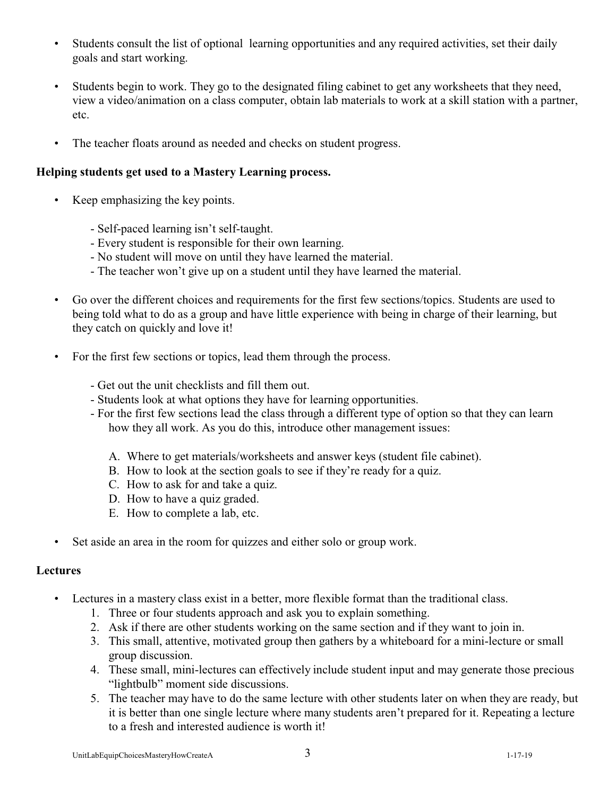- Students consult the list of optional learning opportunities and any required activities, set their daily goals and start working.
- Students begin to work. They go to the designated filing cabinet to get any worksheets that they need, view a video/animation on a class computer, obtain lab materials to work at a skill station with a partner, etc.
- The teacher floats around as needed and checks on student progress.

## **Helping students get used to a Mastery Learning process.**

- Keep emphasizing the key points.
	- Self-paced learning isn't self-taught.
	- Every student is responsible for their own learning.
	- No student will move on until they have learned the material.
	- The teacher won't give up on a student until they have learned the material.
- Go over the different choices and requirements for the first few sections/topics. Students are used to being told what to do as a group and have little experience with being in charge of their learning, but they catch on quickly and love it!
- For the first few sections or topics, lead them through the process.
	- Get out the unit checklists and fill them out.
	- Students look at what options they have for learning opportunities.
	- For the first few sections lead the class through a different type of option so that they can learn how they all work. As you do this, introduce other management issues:
		- A. Where to get materials/worksheets and answer keys (student file cabinet).
		- B. How to look at the section goals to see if they're ready for a quiz.
		- C. How to ask for and take a quiz.
		- D. How to have a quiz graded.
		- E. How to complete a lab, etc.
- Set aside an area in the room for quizzes and either solo or group work.

## **Lectures**

- Lectures in a mastery class exist in a better, more flexible format than the traditional class.
	- 1. Three or four students approach and ask you to explain something.
	- 2. Ask if there are other students working on the same section and if they want to join in.
	- 3. This small, attentive, motivated group then gathers by a whiteboard for a mini-lecture or small group discussion.
	- 4. These small, mini-lectures can effectively include student input and may generate those precious "lightbulb" moment side discussions.
	- 5. The teacher may have to do the same lecture with other students later on when they are ready, but it is better than one single lecture where many students aren't prepared for it. Repeating a lecture to a fresh and interested audience is worth it!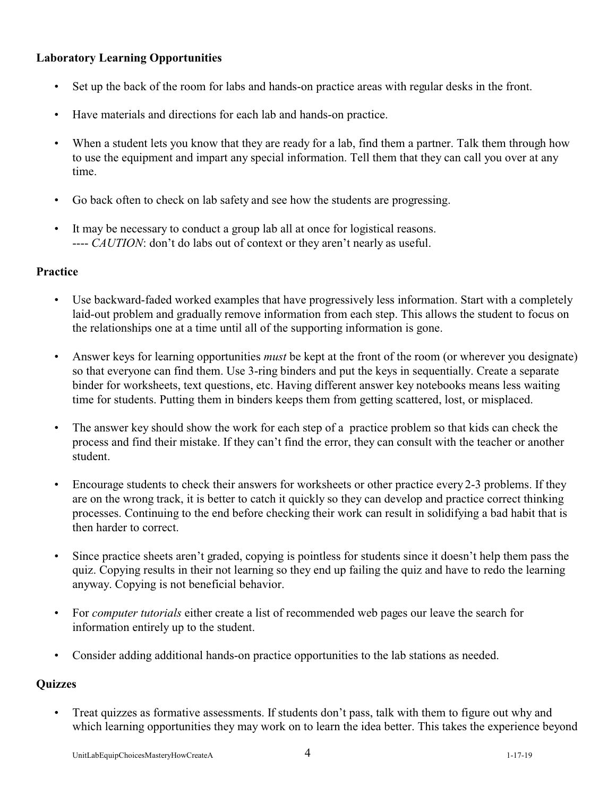# **Laboratory Learning Opportunities**

- Set up the back of the room for labs and hands-on practice areas with regular desks in the front.
- Have materials and directions for each lab and hands-on practice.
- When a student lets you know that they are ready for a lab, find them a partner. Talk them through how to use the equipment and impart any special information. Tell them that they can call you over at any time.
- Go back often to check on lab safety and see how the students are progressing.
- It may be necessary to conduct a group lab all at once for logistical reasons. ---- *CAUTION*: don't do labs out of context or they aren't nearly as useful.

#### **Practice**

- Use backward-faded worked examples that have progressively less information. Start with a completely laid-out problem and gradually remove information from each step. This allows the student to focus on the relationships one at a time until all of the supporting information is gone.
- Answer keys for learning opportunities *must* be kept at the front of the room (or wherever you designate) so that everyone can find them. Use 3-ring binders and put the keys in sequentially. Create a separate binder for worksheets, text questions, etc. Having different answer key notebooks means less waiting time for students. Putting them in binders keeps them from getting scattered, lost, or misplaced.
- The answer key should show the work for each step of a practice problem so that kids can check the process and find their mistake. If they can't find the error, they can consult with the teacher or another student.
- Encourage students to check their answers for worksheets or other practice every 2-3 problems. If they are on the wrong track, it is better to catch it quickly so they can develop and practice correct thinking processes. Continuing to the end before checking their work can result in solidifying a bad habit that is then harder to correct.
- Since practice sheets aren't graded, copying is pointless for students since it doesn't help them pass the quiz. Copying results in their not learning so they end up failing the quiz and have to redo the learning anyway. Copying is not beneficial behavior.
- For *computer tutorials* either create a list of recommended web pages our leave the search for information entirely up to the student.
- Consider adding additional hands-on practice opportunities to the lab stations as needed.

## **Quizzes**

• Treat quizzes as formative assessments. If students don't pass, talk with them to figure out why and which learning opportunities they may work on to learn the idea better. This takes the experience beyond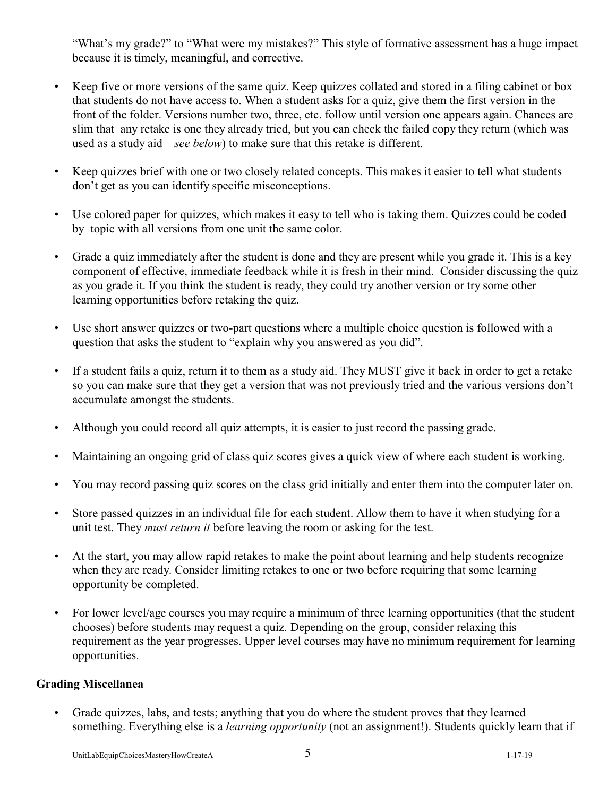"What's my grade?" to "What were my mistakes?" This style of formative assessment has a huge impact because it is timely, meaningful, and corrective.

- Keep five or more versions of the same quiz. Keep quizzes collated and stored in a filing cabinet or box that students do not have access to. When a student asks for a quiz, give them the first version in the front of the folder. Versions number two, three, etc. follow until version one appears again. Chances are slim that any retake is one they already tried, but you can check the failed copy they return (which was used as a study aid – *see below*) to make sure that this retake is different.
- Keep quizzes brief with one or two closely related concepts. This makes it easier to tell what students don't get as you can identify specific misconceptions.
- Use colored paper for quizzes, which makes it easy to tell who is taking them. Quizzes could be coded by topic with all versions from one unit the same color.
- Grade a quiz immediately after the student is done and they are present while you grade it. This is a key component of effective, immediate feedback while it is fresh in their mind. Consider discussing the quiz as you grade it. If you think the student is ready, they could try another version or try some other learning opportunities before retaking the quiz.
- Use short answer quizzes or two-part questions where a multiple choice question is followed with a question that asks the student to "explain why you answered as you did".
- If a student fails a quiz, return it to them as a study aid. They MUST give it back in order to get a retake so you can make sure that they get a version that was not previously tried and the various versions don't accumulate amongst the students.
- Although you could record all quiz attempts, it is easier to just record the passing grade.
- Maintaining an ongoing grid of class quiz scores gives a quick view of where each student is working.
- You may record passing quiz scores on the class grid initially and enter them into the computer later on.
- Store passed quizzes in an individual file for each student. Allow them to have it when studying for a unit test. They *must return it* before leaving the room or asking for the test.
- At the start, you may allow rapid retakes to make the point about learning and help students recognize when they are ready. Consider limiting retakes to one or two before requiring that some learning opportunity be completed.
- For lower level/age courses you may require a minimum of three learning opportunities (that the student chooses) before students may request a quiz. Depending on the group, consider relaxing this requirement as the year progresses. Upper level courses may have no minimum requirement for learning opportunities.

## **Grading Miscellanea**

• Grade quizzes, labs, and tests; anything that you do where the student proves that they learned something. Everything else is a *learning opportunity* (not an assignment!). Students quickly learn that if